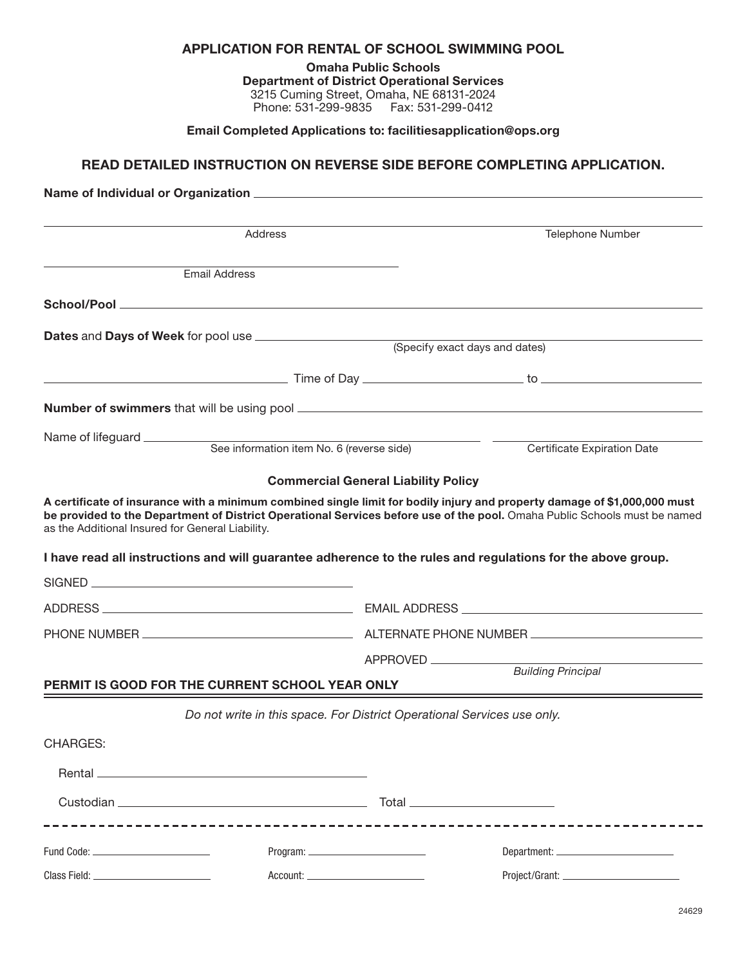| APPLICATION FOR RENTAL OF SCHOOL SWIMMING POOL |
|------------------------------------------------|
|------------------------------------------------|

Omaha Public Schools Department of District Operational Services 3215 Cuming Street, Omaha, NE 68131-2024 Phone: 531-299-9835 Fax: 531-299-0412

Email Completed Applications to: [facilitiesapplication@ops.org](mailto:?subject=)

## READ DETAILED INSTRUCTION ON REVERSE SIDE BEFORE COMPLETING APPLICATION.

|                                                                                                                                                                                                                                | Address                                                                 |                                            | <b>Telephone Number</b>                                                                                                                                                                                                                                |
|--------------------------------------------------------------------------------------------------------------------------------------------------------------------------------------------------------------------------------|-------------------------------------------------------------------------|--------------------------------------------|--------------------------------------------------------------------------------------------------------------------------------------------------------------------------------------------------------------------------------------------------------|
|                                                                                                                                                                                                                                | <b>Email Address</b>                                                    |                                            |                                                                                                                                                                                                                                                        |
|                                                                                                                                                                                                                                |                                                                         |                                            |                                                                                                                                                                                                                                                        |
|                                                                                                                                                                                                                                |                                                                         |                                            |                                                                                                                                                                                                                                                        |
|                                                                                                                                                                                                                                |                                                                         |                                            | (Specify exact days and dates)                                                                                                                                                                                                                         |
|                                                                                                                                                                                                                                |                                                                         |                                            |                                                                                                                                                                                                                                                        |
|                                                                                                                                                                                                                                |                                                                         |                                            |                                                                                                                                                                                                                                                        |
| Name of lifeguard __________                                                                                                                                                                                                   | See information item No. 6 (reverse side)                               |                                            | <b>Certificate Expiration Date</b>                                                                                                                                                                                                                     |
|                                                                                                                                                                                                                                |                                                                         | <b>Commercial General Liability Policy</b> |                                                                                                                                                                                                                                                        |
| as the Additional Insured for General Liability.                                                                                                                                                                               |                                                                         |                                            | A certificate of insurance with a minimum combined single limit for bodily injury and property damage of \$1,000,000 must<br>be provided to the Department of District Operational Services before use of the pool. Omaha Public Schools must be named |
|                                                                                                                                                                                                                                |                                                                         |                                            | I have read all instructions and will guarantee adherence to the rules and regulations for the above group.                                                                                                                                            |
|                                                                                                                                                                                                                                |                                                                         |                                            |                                                                                                                                                                                                                                                        |
|                                                                                                                                                                                                                                |                                                                         |                                            |                                                                                                                                                                                                                                                        |
|                                                                                                                                                                                                                                |                                                                         |                                            |                                                                                                                                                                                                                                                        |
|                                                                                                                                                                                                                                |                                                                         | APPROVED                                   |                                                                                                                                                                                                                                                        |
|                                                                                                                                                                                                                                | PERMIT IS GOOD FOR THE CURRENT SCHOOL YEAR ONLY                         |                                            | <b>Building Principal</b>                                                                                                                                                                                                                              |
|                                                                                                                                                                                                                                | Do not write in this space. For District Operational Services use only. |                                            |                                                                                                                                                                                                                                                        |
| CHARGES:                                                                                                                                                                                                                       |                                                                         |                                            |                                                                                                                                                                                                                                                        |
|                                                                                                                                                                                                                                |                                                                         |                                            |                                                                                                                                                                                                                                                        |
|                                                                                                                                                                                                                                |                                                                         |                                            | Total __________________________                                                                                                                                                                                                                       |
|                                                                                                                                                                                                                                | _______________________________                                         |                                            |                                                                                                                                                                                                                                                        |
| Fund Code: National Code: National Code: National Code: National Code: National Code: National Code: National Code: National Code: National Code: National Code: National Code: National Code: National Code: National Code: N |                                                                         |                                            |                                                                                                                                                                                                                                                        |
|                                                                                                                                                                                                                                |                                                                         |                                            |                                                                                                                                                                                                                                                        |